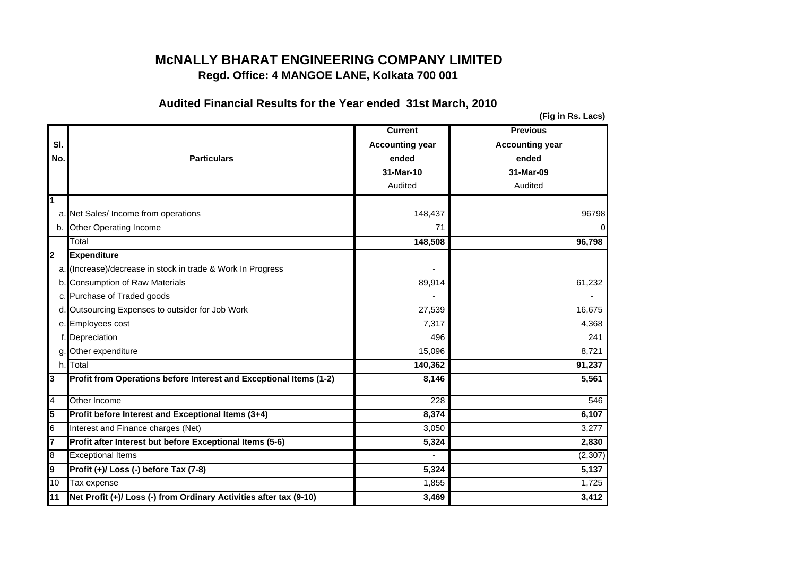## **McNALLY BHARAT ENGINEERING COMPANY LIMITEDRegd. Office: 4 MANGOE LANE, Kolkata 700 001**

## **Audited Financial Results for the Year ended 31st March, 2010**

**(Fig in Rs. Lacs)**

|             |                                                                    | <b>Current</b>         | <b>Previous</b>        |
|-------------|--------------------------------------------------------------------|------------------------|------------------------|
| SI.         |                                                                    | <b>Accounting year</b> | <b>Accounting year</b> |
| No.         | <b>Particulars</b>                                                 | ended                  | ended                  |
|             |                                                                    | 31-Mar-10              | 31-Mar-09              |
|             |                                                                    | Audited                | Audited                |
| 1           |                                                                    |                        |                        |
|             | a. Net Sales/ Income from operations                               | 148,437                | 96798                  |
|             | b. Other Operating Income                                          | 71                     | 0                      |
|             | Total                                                              | 148,508                | 96,798                 |
| 12          | <b>Expenditure</b>                                                 |                        |                        |
|             | a. (Increase)/decrease in stock in trade & Work In Progress        |                        |                        |
|             | b. Consumption of Raw Materials                                    | 89,914                 | 61,232                 |
|             | c. Purchase of Traded goods                                        |                        |                        |
|             | d. Outsourcing Expenses to outsider for Job Work                   | 27,539                 | 16,675                 |
|             | e. Employees cost                                                  | 7,317                  | 4,368                  |
|             | Depreciation                                                       | 496                    | 241                    |
| $q_{\cdot}$ | Other expenditure                                                  | 15,096                 | 8,721                  |
| h.          | Total                                                              | 140,362                | 91,237                 |
| 13          | Profit from Operations before Interest and Exceptional Items (1-2) | 8,146                  | 5,561                  |
| 4           | Other Income                                                       | 228                    | 546                    |
| 15          | Profit before Interest and Exceptional Items (3+4)                 | 8,374                  | 6,107                  |
| 6           | Interest and Finance charges (Net)                                 | 3,050                  | 3,277                  |
| 7           | Profit after Interest but before Exceptional Items (5-6)           | 5,324                  | 2,830                  |
| 8           | <b>Exceptional Items</b>                                           |                        | (2, 307)               |
| l9          | Profit (+)/ Loss (-) before Tax (7-8)                              | 5,324                  | 5,137                  |
| 10          | Tax expense                                                        | 1,855                  | 1,725                  |
| 11          | Net Profit (+)/ Loss (-) from Ordinary Activities after tax (9-10) | 3,469                  | 3,412                  |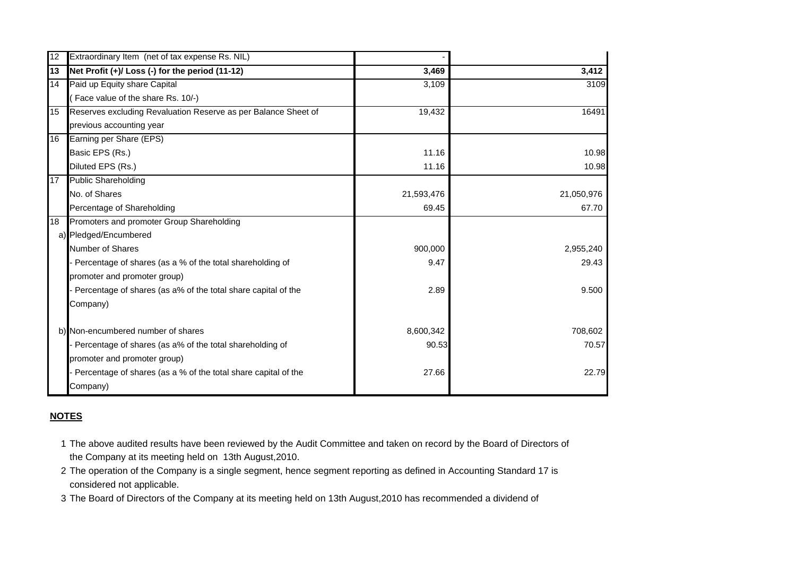| 12 | Extraordinary Item (net of tax expense Rs. NIL)                |            |            |
|----|----------------------------------------------------------------|------------|------------|
| 13 | Net Profit (+)/ Loss (-) for the period (11-12)                | 3,469      | 3,412      |
| 14 | Paid up Equity share Capital                                   | 3,109      | 3109       |
|    | (Face value of the share Rs. 10/-)                             |            |            |
| 15 | Reserves excluding Revaluation Reserve as per Balance Sheet of | 19,432     | 16491      |
|    | previous accounting year                                       |            |            |
| 16 | Earning per Share (EPS)                                        |            |            |
|    | Basic EPS (Rs.)                                                | 11.16      | 10.98      |
|    | Diluted EPS (Rs.)                                              | 11.16      | 10.98      |
| 17 | <b>Public Shareholding</b>                                     |            |            |
|    | No. of Shares                                                  | 21,593,476 | 21,050,976 |
|    | Percentage of Shareholding                                     | 69.45      | 67.70      |
| 18 | Promoters and promoter Group Shareholding                      |            |            |
|    | a) Pledged/Encumbered                                          |            |            |
|    | Number of Shares                                               | 900,000    | 2,955,240  |
|    | - Percentage of shares (as a % of the total shareholding of    | 9.47       | 29.43      |
|    | promoter and promoter group)                                   |            |            |
|    | Percentage of shares (as a% of the total share capital of the  | 2.89       | 9.500      |
|    | Company)                                                       |            |            |
|    | b) Non-encumbered number of shares                             | 8,600,342  | 708,602    |
|    | - Percentage of shares (as a% of the total shareholding of     | 90.53      | 70.57      |
|    | promoter and promoter group)                                   |            |            |
|    | Percentage of shares (as a % of the total share capital of the | 27.66      | 22.79      |
|    | Company)                                                       |            |            |

## **NOTES**

- 1 The above audited results have been reviewed by the Audit Committee and taken on record by the Board of Directors of the Company at its meeting held on 13th August,2010.
- 2 The operation of the Company is a single segment, hence segment reporting as defined in Accounting Standard 17 is considered not applicable.
- 3 The Board of Directors of the Company at its meeting held on 13th August,2010 has recommended a dividend of